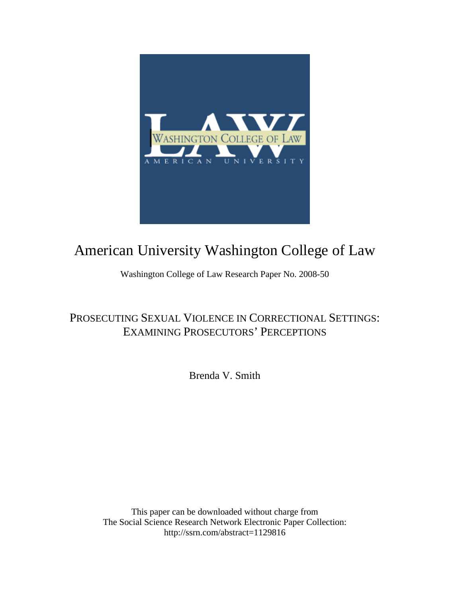

# American University Washington College of Law

Washington College of Law Research Paper No. 2008-50

## PROSECUTING SEXUAL VIOLENCE IN CORRECTIONAL SETTINGS: EXAMINING PROSECUTORS' PERCEPTIONS

Brenda V. Smith

This paper can be downloaded without charge from The Social Science Research Network Electronic Paper Collection: http://ssrn.com/abstract=1129816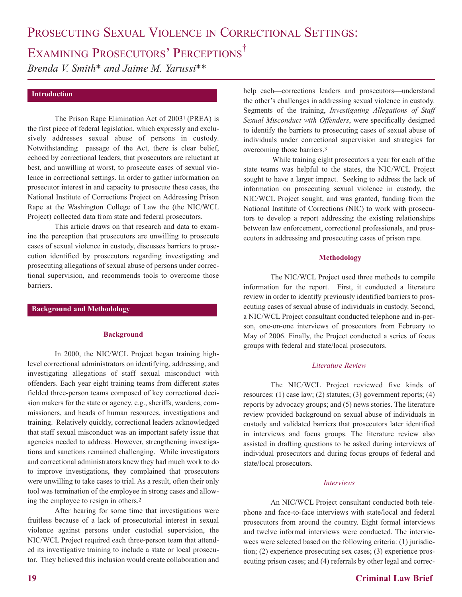## EXAMINING PROSECUTORS' PERCEPTIONS<sup>†</sup>

*Brenda V. Smith\* and Jaime M. Yarussi\*\**

#### **Introduction**

The Prison Rape Elimination Act of 20031 (PREA) is the first piece of federal legislation, which expressly and exclusively addresses sexual abuse of persons in custody. Notwithstanding passage of the Act, there is clear belief, echoed by correctional leaders, that prosecutors are reluctant at best, and unwilling at worst, to prosecute cases of sexual violence in correctional settings. In order to gather information on prosecutor interest in and capacity to prosecute these cases, the National Institute of Corrections Project on Addressing Prison Rape at the Washington College of Law the (the NIC/WCL Project) collected data from state and federal prosecutors.

This article draws on that research and data to examine the perception that prosecutors are unwilling to prosecute cases of sexual violence in custody, discusses barriers to prosecution identified by prosecutors regarding investigating and prosecuting allegations of sexual abuse of persons under correctional supervision, and recommends tools to overcome those barriers.

### **Background and Methodology**

#### **Background**

In 2000, the NIC/WCL Project began training highlevel correctional administrators on identifying, addressing, and investigating allegations of staff sexual misconduct with offenders. Each year eight training teams from different states fielded three-person teams composed of key correctional decision makers for the state or agency, e.g., sheriffs, wardens, commissioners, and heads of human resources, investigations and training. Relatively quickly, correctional leaders acknowledged that staff sexual misconduct was an important safety issue that agencies needed to address. However, strengthening investigations and sanctions remained challenging. While investigators and correctional administrators knew they had much work to do to improve investigations, they complained that prosecutors were unwilling to take cases to trial. As a result, often their only tool was termination of the employee in strong cases and allowing the employee to resign in others.2

After hearing for some time that investigations were fruitless because of a lack of prosecutorial interest in sexual violence against persons under custodial supervision, the NIC/WCL Project required each three-person team that attended its investigative training to include a state or local prosecutor. They believed this inclusion would create collaboration and

help each—corrections leaders and prosecutors—understand the other's challenges in addressing sexual violence in custody. Segments of the training, *Investigating Allegations of Staff Sexual Misconduct with Offenders*, were specifically designed to identify the barriers to prosecuting cases of sexual abuse of individuals under correctional supervision and strategies for overcoming those barriers.3

While training eight prosecutors a year for each of the state teams was helpful to the states, the NIC/WCL Project sought to have a larger impact. Seeking to address the lack of information on prosecuting sexual violence in custody, the NIC/WCL Project sought, and was granted, funding from the National Institute of Corrections (NIC) to work with prosecutors to develop a report addressing the existing relationships between law enforcement, correctional professionals, and prosecutors in addressing and prosecuting cases of prison rape.

## **Methodology**

The NIC/WCL Project used three methods to compile information for the report. First, it conducted a literature review in order to identify previously identified barriers to prosecuting cases of sexual abuse of individuals in custody. Second, a NIC/WCL Project consultant conducted telephone and in-person, one-on-one interviews of prosecutors from February to May of 2006. Finally, the Project conducted a series of focus groups with federal and state/local prosecutors.

#### *Literature Review*

The NIC/WCL Project reviewed five kinds of resources: (1) case law; (2) statutes; (3) government reports; (4) reports by advocacy groups; and (5) news stories. The literature review provided background on sexual abuse of individuals in custody and validated barriers that prosecutors later identified in interviews and focus groups. The literature review also assisted in drafting questions to be asked during interviews of individual prosecutors and during focus groups of federal and state/local prosecutors.

#### *Interviews*

An NIC/WCL Project consultant conducted both telephone and face-to-face interviews with state/local and federal prosecutors from around the country. Eight formal interviews and twelve informal interviews were conducted. The interviewees were selected based on the following criteria: (1) jurisdiction; (2) experience prosecuting sex cases; (3) experience prosecuting prison cases; and (4) referrals by other legal and correc-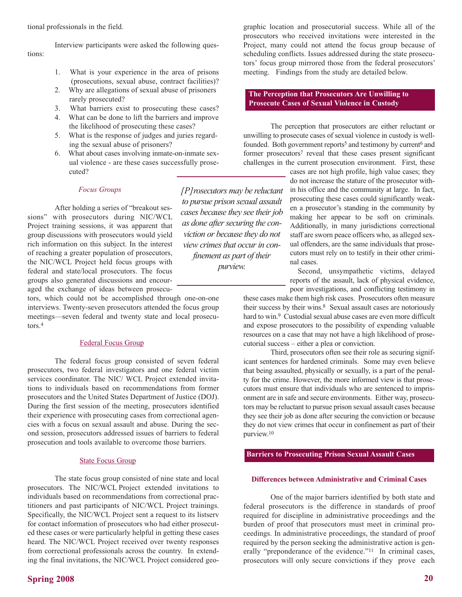Interview participants were asked the following questions:

- 1. What is your experience in the area of prisons (prosecutions, sexual abuse, contract facilities)?
- 2. Why are allegations of sexual abuse of prisoners rarely prosecuted?
- 3. What barriers exist to prosecuting these cases?
- 4. What can be done to lift the barriers and improve the likelihood of prosecuting these cases?
- 5. What is the response of judges and juries regarding the sexual abuse of prisoners?
- 6. What about cases involving inmate-on-inmate sexual violence - are these cases successfully prosecuted?

## *Focus Groups*

After holding a series of "breakout sessions" with prosecutors during NIC/WCL Project training sessions, it was apparent that group discussions with prosecutors would yield rich information on this subject. In the interest of reaching a greater population of prosecutors, the NIC/WCL Project held focus groups with federal and state/local prosecutors. The focus groups also generated discussions and encouraged the exchange of ideas between prosecu-

tors, which could not be accomplished through one-on-one interviews. Twenty-seven prosecutors attended the focus group meetings—seven federal and twenty state and local prosecutors.4

#### Federal Focus Group

The federal focus group consisted of seven federal prosecutors, two federal investigators and one federal victim services coordinator. The NIC/ WCL Project extended invitations to individuals based on recommendations from former prosecutors and the United States Department of Justice (DOJ). During the first session of the meeting, prosecutors identified their experience with prosecuting cases from correctional agencies with a focus on sexual assault and abuse. During the second session, prosecutors addressed issues of barriers to federal prosecution and tools available to overcome those barriers.

#### **State Focus Group**

The state focus group consisted of nine state and local prosecutors. The NIC/WCL Project extended invitations to individuals based on recommendations from correctional practitioners and past participants of NIC/WCL Project trainings. Specifically, the NIC/WCL Project sent a request to its listserv for contact information of prosecutors who had either prosecuted these cases or were particularly helpful in getting these cases heard. The NIC/WCL Project received over twenty responses from correctional professionals across the country. In extending the final invitations, the NIC/WCL Project considered geo-

*[P]rosecutors may be reluctant to pursue prison sexual assault cases because they see their job as done after securing the conviction or because they do not view crimes that occur in confinement as part of their purview.*

graphic location and prosecutorial success. While all of the prosecutors who received invitations were interested in the Project, many could not attend the focus group because of scheduling conflicts. Issues addressed during the state prosecutors' focus group mirrored those from the federal prosecutors' meeting. Findings from the study are detailed below.

## **The Perception that Prosecutors Are Unwilling to Prosecute Cases of Sexual Violence in Custody**

The perception that prosecutors are either reluctant or unwilling to prosecute cases of sexual violence in custody is wellfounded. Both government reports<sup>5</sup> and testimony by current<sup>6</sup> and former prosecutors<sup>7</sup> reveal that these cases present significant challenges in the current prosecution environment. First, these

> cases are not high profile, high value cases; they do not increase the stature of the prosecutor within his office and the community at large. In fact, prosecuting these cases could significantly weaken a prosecutor's standing in the community by making her appear to be soft on criminals. Additionally, in many jurisdictions correctional staff are sworn peace officers who, as alleged sexual offenders, are the same individuals that prosecutors must rely on to testify in their other criminal cases.

> Second, unsympathetic victims, delayed reports of the assault, lack of physical evidence, poor investigations, and conflicting testimony in

these cases make them high risk cases. Prosecutors often measure their success by their wins.8 Sexual assault cases are notoriously hard to win.9 Custodial sexual abuse cases are even more difficult and expose prosecutors to the possibility of expending valuable resources on a case that may not have a high likelihood of prosecutorial success – either a plea or conviction.

Third, prosecutors often see their role as securing significant sentences for hardened criminals. Some may even believe that being assaulted, physically or sexually, is a part of the penalty for the crime. However, the more informed view is that prosecutors must ensure that individuals who are sentenced to imprisonment are in safe and secure environments. Either way, prosecutors may be reluctant to pursue prison sexual assault cases because they see their job as done after securing the conviction or because they do not view crimes that occur in confinement as part of their purview.10

## **Barriers to Prosecuting Prison Sexual Assault Cases**

#### **Differences between Administrative and Criminal Cases**

One of the major barriers identified by both state and federal prosecutors is the difference in standards of proof required for discipline in administrative proceedings and the burden of proof that prosecutors must meet in criminal proceedings. In administrative proceedings, the standard of proof required by the person seeking the administrative action is generally "preponderance of the evidence."<sup>11</sup> In criminal cases, prosecutors will only secure convictions if they prove each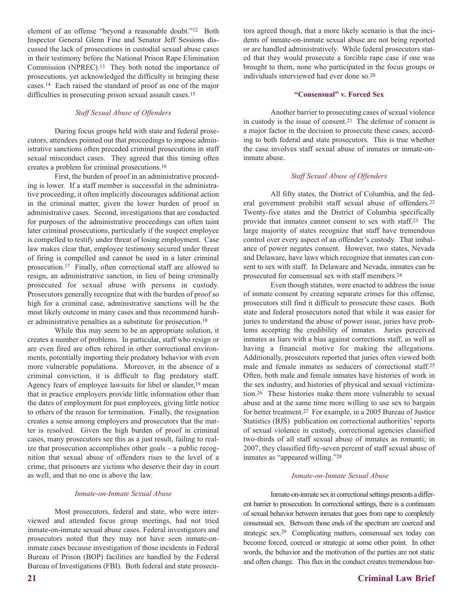element of an offense "beyond a reasonable doubt."12 Both Inspector General Glenn Fine and Senator Jeff Sessions discussed the lack of prosecutions in custodial sexual abuse cases in their testimony before the National Prison Rape Elimination Commission (NPREC).13 They both noted the importance of prosecutions, yet acknowledged the difficulty in bringing these cases.14 Each raised the standard of proof as one of the major difficulties in prosecuting prison sexual assault cases.15

## *Staff Sexual Abuse of Offenders*

During focus groups held with state and federal prosecutors, attendees pointed out that proceedings to impose administrative sanctions often preceded criminal prosecutions in staff sexual misconduct cases. They agreed that this timing often creates a problem for criminal prosecutions.16

First, the burden of proof in an administrative proceeding is lower. If a staff member is successful in the administrative proceeding, it often implicitly discourages additional action in the criminal matter, given the lower burden of proof in administrative cases. Second, investigations that are conducted for purposes of the administrative proceedings can often taint later criminal prosecutions, particularly if the suspect employee is compelled to testify under threat of losing employment. Case law makes clear that, employee testimony secured under threat of firing is compelled and cannot be used in a later criminal prosecution.17 Finally, often correctional staff are allowed to resign, an administrative sanction, in lieu of being criminally prosecuted for sexual abuse with persons in custody. Prosecutors generally recognize that with the burden of proof so high for a criminal case, administrative sanctions will be the most likely outcome in many cases and thus recommend harsher administrative penalties as a substitute for prosecution.18

While this may seem to be an appropriate solution, it creates a number of problems. In particular, staff who resign or are even fired are often rehired in other correctional environments, potentially importing their predatory behavior with even more vulnerable populations. Moreover, in the absence of a criminal conviction, it is difficult to flag predatory staff. Agency fears of employee lawsuits for libel or slander,<sup>19</sup> mean that in practice employers provide little information other than the dates of employment for past employees, giving little notice to others of the reason for termination. Finally, the resignation creates a sense among employers and prosecutors that the matter is resolved. Given the high burden of proof in criminal cases, many prosecutors see this as a just result, failing to realize that prosecution accomplishes other goals – a public recognition that sexual abuse of offenders rises to the level of a crime, that prisoners are victims who deserve their day in court as well, and that no one is above the law.

#### *Inmate-on-Inmate Sexual Abuse*

Most prosecutors, federal and state, who were interviewed and attended focus group meetings, had not tried inmate-on-inmate sexual abuse cases. Federal investigators and prosecutors noted that they may not have seen inmate-oninmate cases because investigation of those incidents in Federal Bureau of Prison (BOP) facilities are handled by the Federal Bureau of Investigations (FBI). Both federal and state prosecutors agreed though, that a more likely scenario is that the incidents of inmate-on-inmate sexual abuse are not being reported or are handled administratively. While federal prosecutors stated that they would prosecute a forcible rape case if one was brought to them, none who participated in the focus groups or individuals interviewed had ever done so.20

#### **"Consensual" v. Forced Sex**

Another barrier to prosecuting cases of sexual violence in custody is the issue of consent.21 The defense of consent is a major factor in the decision to prosecute these cases, according to both federal and state prosecutors. This is true whether the case involves staff sexual abuse of inmates or inmate-oninmate abuse.

#### *Staff Sexual Abuse of Offenders*

All fifty states, the District of Columbia, and the federal government prohibit staff sexual abuse of offenders.22 Twenty-five states and the District of Columbia specifically provide that inmates cannot consent to sex with staff.23 The large majority of states recognize that staff have tremendous control over every aspect of an offender's custody. That imbalance of power negates consent. However, two states, Nevada and Delaware, have laws which recognize that inmates can consent to sex with staff. In Delaware and Nevada, inmates can be prosecuted for consensual sex with staff members.24

Even though statutes, were enacted to address the issue of inmate consent by creating separate crimes for this offense, prosecutors still find it difficult to prosecute these cases. Both state and federal prosecutors noted that while it was easier for juries to understand the abuse of power issue, juries have problems accepting the credibility of inmates. Juries perceived inmates as liars with a bias against corrections staff, as well as having a financial motive for making the allegations. Additionally, prosecutors reported that juries often viewed both male and female inmates as seducers of correctional staff.<sup>25</sup> Often, both male and female inmates have histories of work in the sex industry, and histories of physical and sexual victimization.26 These histories make them more vulnerable to sexual abuse and at the same time more willing to use sex to bargain for better treatment.27 For example, in a 2005 Bureau of Justice Statistics (BJS) publication on correctional authorities' reports of sexual violence in custody, correctional agencies classified two-thirds of all staff sexual abuse of inmates as romanti; in 2007, they classified fifty-seven percent of staff sexual abuse of inmates as "appeared willing."28

#### *Inmate-on-Inmate Sexual Abuse*

Inmate-on-inmate sex in correctional settings presents a different barrier to prosecution. In correctional settings, there is a continuum of sexual behavior between inmates that goes from rape to completely consensual sex. Between those ends of the spectrum are coerced and strategic sex.29 Complicating matters, consensual sex today can become forced, coerced or strategic at some other point. In other words, the behavior and the motivation of the parties are not static and often change. This flux in the conduct creates tremendous bar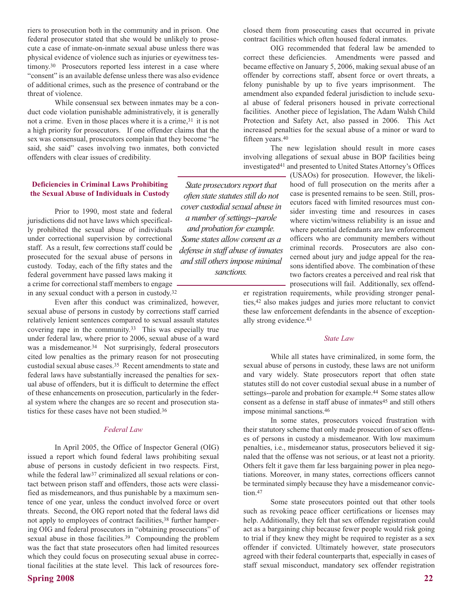riers to prosecution both in the community and in prison. One federal prosecutor stated that she would be unlikely to prosecute a case of inmate-on-inmate sexual abuse unless there was physical evidence of violence such as injuries or eyewitness testimony.<sup>30</sup> Prosecutors reported less interest in a case where "consent" is an available defense unless there was also evidence of additional crimes, such as the presence of contraband or the threat of violence.

While consensual sex between inmates may be a conduct code violation punishable administratively, it is generally not a crime. Even in those places where it is a crime,31 it is not a high priority for prosecutors. If one offender claims that the sex was consensual, prosecutors complain that they become "he said, she said" cases involving two inmates, both convicted offenders with clear issues of credibility.

## **Deficiencies in Criminal Laws Prohibiting the Sexual Abuse of Individuals in Custody**

Prior to 1990, most state and federal jurisdictions did not have laws which specifically prohibited the sexual abuse of individuals under correctional supervision by correctional staff. As a result, few corrections staff could be prosecuted for the sexual abuse of persons in custody. Today, each of the fifty states and the federal government have passed laws making it a crime for correctional staff members to engage in any sexual conduct with a person in custody.32

Even after this conduct was criminalized, however, sexual abuse of persons in custody by corrections staff carried relatively lenient sentences compared to sexual assault statutes covering rape in the community.33 This was especially true under federal law, where prior to 2006, sexual abuse of a ward was a misdemeanor.<sup>34</sup> Not surprisingly, federal prosecutors cited low penalties as the primary reason for not prosecuting custodial sexual abuse cases.35 Recent amendments to state and federal laws have substantially increased the penalties for sexual abuse of offenders, but it is difficult to determine the effect of these enhancements on prosecution, particularly in the federal system where the changes are so recent and prosecution statistics for these cases have not been studied.36

## *Federal Law*

In April 2005, the Office of Inspector General (OIG) issued a report which found federal laws prohibiting sexual abuse of persons in custody deficient in two respects. First, while the federal law<sup>37</sup> criminalized all sexual relations or contact between prison staff and offenders, those acts were classified as misdemeanors, and thus punishable by a maximum sentence of one year, unless the conduct involved force or overt threats. Second, the OIG report noted that the federal laws did not apply to employees of contract facilities,<sup>38</sup> further hampering OIG and federal prosecutors in "obtaining prosecutions" of sexual abuse in those facilities.<sup>39</sup> Compounding the problem was the fact that state prosecutors often had limited resources which they could focus on prosecuting sexual abuse in correctional facilities at the state level. This lack of resources fore-

**Spring 2008 22**

closed them from prosecuting cases that occurred in private contract facilities which often housed federal inmates.

OIG recommended that federal law be amended to correct these deficiencies. Amendments were passed and became effective on January 5, 2006, making sexual abuse of an offender by corrections staff, absent force or overt threats, a felony punishable by up to five years imprisonment. The amendment also expanded federal jurisdiction to include sexual abuse of federal prisoners housed in private correctional facilities. Another piece of legislation, The Adam Walsh Child Protection and Safety Act, also passed in 2006. This Act increased penalties for the sexual abuse of a minor or ward to fifteen years.40

The new legislation should result in more cases involving allegations of sexual abuse in BOP facilities being investigated41 and presented to United States Attorney's Offices

*State prosecutors report that often state statutes still do not cover custodial sexual abuse in a number of settings--parole and probation for example. Some states allow consent as a defense in staff abuse of inmates and still others impose minimal sanctions.*

(USAOs) for prosecution. However, the likelihood of full prosecution on the merits after a case is presented remains to be seen. Still, prosecutors faced with limited resources must consider investing time and resources in cases where victim/witness reliability is an issue and where potential defendants are law enforcement officers who are community members without criminal records. Prosecutors are also concerned about jury and judge appeal for the reasons identified above. The combination of these two factors creates a perceived and real risk that prosecutions will fail. Additionally, sex offend-

er registration requirements, while providing stronger penalties,42 also makes judges and juries more reluctant to convict these law enforcement defendants in the absence of exceptionally strong evidence.43

## *State Law*

While all states have criminalized, in some form, the sexual abuse of persons in custody, these laws are not uniform and vary widely. State prosecutors report that often state statutes still do not cover custodial sexual abuse in a number of settings--parole and probation for example.44 Some states allow consent as a defense in staff abuse of inmates<sup>45</sup> and still others impose minimal sanctions.46

In some states, prosecutors voiced frustration with their statutory scheme that only made prosecution of sex offenses of persons in custody a misdemeanor. With low maximum penalties, i.e., misdemeanor status, prosecutors believed it signaled that the offense was not serious, or at least not a priority. Others felt it gave them far less bargaining power in plea negotiations. Moreover, in many states, corrections officers cannot be terminated simply because they have a misdemeanor conviction.<sup>47</sup>

Some state prosecutors pointed out that other tools such as revoking peace officer certifications or licenses may help. Additionally, they felt that sex offender registration could act as a bargaining chip because fewer people would risk going to trial if they knew they might be required to register as a sex offender if convicted. Ultimately however, state prosecutors agreed with their federal counterparts that, especially in cases of staff sexual misconduct, mandatory sex offender registration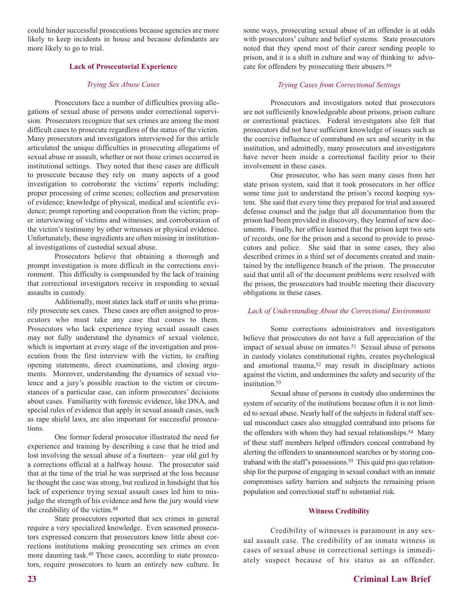could hinder successful prosecutions because agencies are more likely to keep incidents in house and because defendants are more likely to go to trial.

## **Lack of Prosecutorial Experience**

## *Trying Sex Abuse Cases*

Prosecutors face a number of difficulties proving allegations of sexual abuse of persons under correctional supervision. Prosecutors recognize that sex crimes are among the most difficult cases to prosecute regardless of the status of the victim. Many prosecutors and investigators interviewed for this article articulated the unique difficulties in prosecuting allegations of sexual abuse or assault, whether or not those crimes occurred in institutional settings. They noted that these cases are difficult to prosecute because they rely on many aspects of a good investigation to corroborate the victims' reports including: proper processing of crime scenes; collection and preservation of evidence; knowledge of physical, medical and scientific evidence; prompt reporting and cooperation from the victim; proper interviewing of victims and witnesses; and corroboration of the victim's testimony by other witnesses or physical evidence. Unfortunately, these ingredients are often missing in institutional investigations of custodial sexual abuse.

Prosecutors believe that obtaining a thorough and prompt investigation is more difficult in the corrections environment. This difficulty is compounded by the lack of training that correctional investigators receive in responding to sexual assaults in custody.

Additionally, most states lack staff or units who primarily prosecute sex cases. These cases are often assigned to prosecutors who must take any case that comes to them. Prosecutors who lack experience trying sexual assault cases may not fully understand the dynamics of sexual violence, which is important at every stage of the investigation and prosecution from the first interview with the victim, to crafting opening statements, direct examinations, and closing arguments. Moreover, understanding the dynamics of sexual violence and a jury's possible reaction to the victim or circumstances of a particular case, can inform prosecutors' decisions about cases. Familiarity with forensic evidence, like DNA, and special rules of evidence that apply in sexual assault cases, such as rape shield laws, are also important for successful prosecutions.

One former federal prosecutor illustrated the need for experience and training by describing a case that he tried and lost involving the sexual abuse of a fourteen– year old girl by a corrections official at a halfway house. The prosecutor said that at the time of the trial he was surprised at the loss because he thought the case was strong, but realized in hindsight that his lack of experience trying sexual assault cases led him to misjudge the strength of his evidence and how the jury would view the credibility of the victim.48

State prosecutors reported that sex crimes in general require a very specialized knowledge. Even seasoned prosecutors expressed concern that prosecutors know little about corrections institutions making prosecuting sex crimes an even more daunting task.49 These cases, according to state prosecutors, require prosecutors to learn an entirely new culture. In some ways, prosecuting sexual abuse of an offender is at odds with prosecutors' culture and belief systems. State prosecutors noted that they spend most of their career sending people to prison, and it is a shift in culture and way of thinking to advocate for offenders by prosecuting their abusers.50

## *Trying Cases from Correctional Settings*

Prosecutors and investigators noted that prosecutors are not sufficiently knowledgeable about prisons, prison culture or correctional practices. Federal investigators also felt that prosecutors did not have sufficient knowledge of issues such as the coercive influence of contraband on sex and security in the institution, and admittedly, many prosecutors and investigators have never been inside a correctional facility prior to their involvement in these cases.

One prosecutor, who has seen many cases from her state prison system, said that it took prosecutors in her office some time just to understand the prison's record keeping system. She said that every time they prepared for trial and assured defense counsel and the judge that all documentation from the prison had been provided in discovery, they learned of new documents. Finally, her office learned that the prison kept two sets of records, one for the prison and a second to provide to prosecutors and police. She said that in some cases, they also described crimes in a third set of documents created and maintained by the intelligence branch of the prison. The prosecutor said that until all of the document problems were resolved with the prison, the prosecutors had trouble meeting their discovery obligations in these cases.

## *Lack of Understanding About the Correctional Environment*

Some corrections administrators and investigators believe that prosecutors do not have a full appreciation of the impact of sexual abuse on inmates.<sup>51</sup> Sexual abuse of persons in custody violates constitutional rights, creates psychological and emotional trauma,52 may result in disciplinary actions against the victim, and undermines the safety and security of the institution.53

Sexual abuse of persons in custody also undermines the system of security of the institutions because often it is not limited to sexual abuse. Nearly half of the subjects in federal staff sexual misconduct cases also smuggled contraband into prisons for the offenders with whom they had sexual relationships.<sup>54</sup> Many of these staff members helped offenders conceal contraband by alerting the offenders to unannounced searches or by storing contraband with the staff's possessions.<sup>55</sup> This quid pro quo relationship for the purpose of engaging in sexual conduct with an inmate compromises safety barriers and subjects the remaining prison population and correctional staff to substantial risk.

## **Witness Credibility**

Credibility of witnesses is paramount in any sexual assault case. The credibility of an inmate witness in cases of sexual abuse in correctional settings is immediately suspect because of his status as an offender.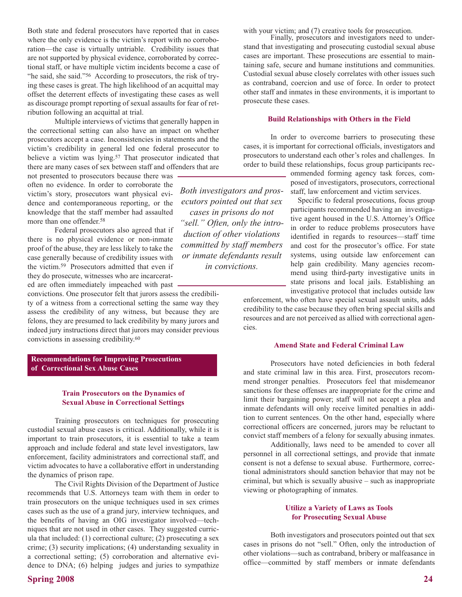Both state and federal prosecutors have reported that in cases where the only evidence is the victim's report with no corroboration—the case is virtually untriable. Credibility issues that are not supported by physical evidence, corroborated by correctional staff, or have multiple victim incidents become a case of "he said, she said."56 According to prosecutors, the risk of trying these cases is great. The high likelihood of an acquittal may offset the deterrent effects of investigating these cases as well as discourage prompt reporting of sexual assaults for fear of retribution following an acquittal at trial.

Multiple interviews of victims that generally happen in the correctional setting can also have an impact on whether prosecutors accept a case. Inconsistencies in statements and the victim's credibility in general led one federal prosecutor to believe a victim was lying.<sup>57</sup> That prosecutor indicated that there are many cases of sex between staff and offenders that are

not presented to prosecutors because there was often no evidence. In order to corroborate the victim's story, prosecutors want physical evidence and contemporaneous reporting, or the knowledge that the staff member had assaulted more than one offender.<sup>58</sup>

Federal prosecutors also agreed that if there is no physical evidence or non-inmate proof of the abuse, they are less likely to take the case generally because of credibility issues with the victim.59 Prosecutors admitted that even if they do prosecute, witnesses who are incarcerated are often immediately impeached with past

convictions. One prosecutor felt that jurors assess the credibility of a witness from a correctional setting the same way they assess the credibility of any witness, but because they are felons, they are presumed to lack credibility by many jurors and indeed jury instructions direct that jurors may consider previous convictions in assessing credibility.60

**Recommendations for Improving Prosecutions of Correctional Sex Abuse Cases**

## **Train Prosecutors on the Dynamics of Sexual Abuse in Correctional Settings**

Training prosecutors on techniques for prosecuting custodial sexual abuse cases is critical. Additionally, while it is important to train prosecutors, it is essential to take a team approach and include federal and state level investigators, law enforcement, facility administrators and correctional staff, and victim advocates to have a collaborative effort in understanding the dynamics of prison rape.

The Civil Rights Division of the Department of Justice recommends that U.S. Attorneys team with them in order to train prosecutors on the unique techniques used in sex crimes cases such as the use of a grand jury, interview techniques, and the benefits of having an OIG investigator involved—techniques that are not used in other cases. They suggested curricula that included: (1) correctional culture; (2) prosecuting a sex crime; (3) security implications; (4) understanding sexuality in a correctional setting; (5) corroboration and alternative evidence to DNA; (6) helping judges and juries to sympathize

**Spring 2008 24**

with your victim; and (7) creative tools for prosecution.

Finally, prosecutors and investigators need to understand that investigating and prosecuting custodial sexual abuse cases are important. These prosecutions are essential to maintaining safe, secure and humane institutions and communities. Custodial sexual abuse closely correlates with other issues such as contraband, coercion and use of force. In order to protect other staff and inmates in these environments, it is important to prosecute these cases.

#### **Build Relationships with Others in the Field**

In order to overcome barriers to prosecuting these cases, it is important for correctional officials, investigators and prosecutors to understand each other's roles and challenges. In order to build these relationships, focus group participants rec-

> ommended forming agency task forces, composed of investigators, prosecutors, correctional staff, law enforcement and victim services.

> Specific to federal prosecutions, focus group participants recommended having an investigative agent housed in the U.S. Attorney's Office in order to reduce problems prosecutors have identified in regards to resources—staff time and cost for the prosecutor's office. For state systems, using outside law enforcement can help gain credibility. Many agencies recommend using third-party investigative units in state prisons and local jails. Establishing an investigative protocol that includes outside law

enforcement, who often have special sexual assault units, adds credibility to the case because they often bring special skills and resources and are not perceived as allied with correctional agencies.

## **Amend State and Federal Criminal Law**

Prosecutors have noted deficiencies in both federal and state criminal law in this area. First, prosecutors recommend stronger penalties. Prosecutors feel that misdemeanor sanctions for these offenses are inappropriate for the crime and limit their bargaining power; staff will not accept a plea and inmate defendants will only receive limited penalties in addition to current sentences. On the other hand, especially where correctional officers are concerned, jurors may be reluctant to convict staff members of a felony for sexually abusing inmates.

Additionally, laws need to be amended to cover all personnel in all correctional settings, and provide that inmate consent is not a defense to sexual abuse. Furthermore, correctional administrators should sanction behavior that may not be criminal, but which is sexually abusive – such as inappropriate viewing or photographing of inmates.

## **Utilize a Variety of Laws as Tools for Prosecuting Sexual Abuse**

Both investigators and prosecutors pointed out that sex cases in prisons do not "sell." Often, only the introduction of other violations—such as contraband, bribery or malfeasance in office—committed by staff members or inmate defendants

*Both investigators and prosecutors pointed out that sex cases in prisons do not "sell." Often, only the introduction of other violations committed by staff members or inmate defendants result in convictions.*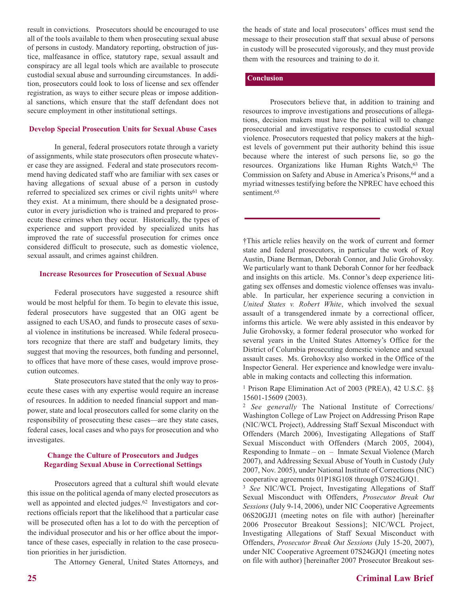result in convictions. Prosecutors should be encouraged to use all of the tools available to them when prosecuting sexual abuse of persons in custody. Mandatory reporting, obstruction of justice, malfeasance in office, statutory rape, sexual assault and conspiracy are all legal tools which are available to prosecute custodial sexual abuse and surrounding circumstances. In addition, prosecutors could look to loss of license and sex offender registration, as ways to either secure pleas or impose additional sanctions, which ensure that the staff defendant does not secure employment in other institutional settings.

## **Develop Special Prosecution Units for Sexual Abuse Cases**

In general, federal prosecutors rotate through a variety of assignments, while state prosecutors often prosecute whatever case they are assigned. Federal and state prosecutors recommend having dedicated staff who are familiar with sex cases or having allegations of sexual abuse of a person in custody referred to specialized sex crimes or civil rights units<sup>61</sup> where they exist. At a minimum, there should be a designated prosecutor in every jurisdiction who is trained and prepared to prosecute these crimes when they occur. Historically, the types of experience and support provided by specialized units has improved the rate of successful prosecution for crimes once considered difficult to prosecute, such as domestic violence, sexual assault, and crimes against children.

## **Increase Resources for Prosecution of Sexual Abuse**

Federal prosecutors have suggested a resource shift would be most helpful for them. To begin to elevate this issue, federal prosecutors have suggested that an OIG agent be assigned to each USAO, and funds to prosecute cases of sexual violence in institutions be increased. While federal prosecutors recognize that there are staff and budgetary limits, they suggest that moving the resources, both funding and personnel, to offices that have more of these cases, would improve prosecution outcomes.

State prosecutors have stated that the only way to prosecute these cases with any expertise would require an increase of resources. In addition to needed financial support and manpower, state and local prosecutors called for some clarity on the responsibility of prosecuting these cases—are they state cases, federal cases, local cases and who pays for prosecution and who investigates.

## **Change the Culture of Prosecutors and Judges Regarding Sexual Abuse in Correctional Settings**

Prosecutors agreed that a cultural shift would elevate this issue on the political agenda of many elected prosecutors as well as appointed and elected judges.<sup>62</sup> Investigators and corrections officials report that the likelihood that a particular case will be prosecuted often has a lot to do with the perception of the individual prosecutor and his or her office about the importance of these cases, especially in relation to the case prosecution priorities in her jurisdiction.

The Attorney General, United States Attorneys, and

the heads of state and local prosecutors' offices must send the message to their prosecution staff that sexual abuse of persons in custody will be prosecuted vigorously, and they must provide them with the resources and training to do it.

## **Conclusion**

Prosecutors believe that, in addition to training and resources to improve investigations and prosecutions of allegations, decision makers must have the political will to change prosecutorial and investigative responses to custodial sexual violence. Prosecutors requested that policy makers at the highest levels of government put their authority behind this issue because where the interest of such persons lie, so go the resources. Organizations like Human Rights Watch, 63 The Commission on Safety and Abuse in America's Prisons, 64 and a myriad witnesses testifying before the NPREC have echoed this sentiment.<sup>65</sup>

†This article relies heavily on the work of current and former state and federal prosecutors, in particular the work of Roy Austin, Diane Berman, Deborah Connor, and Julie Grohovsky. We particularly want to thank Deborah Connor for her feedback and insights on this article. Ms. Connor's deep experience litigating sex offenses and domestic violence offenses was invaluable. In particular, her experience securing a conviction in *United States v. Robert White*, which involved the sexual assault of a transgendered inmate by a correctional officer, informs this article. We were ably assisted in this endeavor by Julie Grohovsky, a former federal prosecutor who worked for several years in the United States Attorney's Office for the District of Columbia prosecuting domestic violence and sexual assault cases. Ms. Grohovksy also worked in the Office of the Inspector General. Her experience and knowledge were invaluable in making contacts and collecting this information.

<sup>1</sup> Prison Rape Elimination Act of 2003 (PREA), 42 U.S.C. §§ 15601-15609 (2003).

<sup>2</sup> *See generally* The National Institute of Corrections/ Washington College of Law Project on Addressing Prison Rape (NIC/WCL Project), Addressing Staff Sexual Misconduct with Offenders (March 2006), Investigating Allegations of Staff Sexual Misconduct with Offenders (March 2005, 2004), Responding to Inmate – on – Inmate Sexual Violence (March 2007), and Addressing Sexual Abuse of Youth in Custody (July 2007, Nov. 2005), under National Institute of Corrections (NIC) cooperative agreements 01P18G108 through 07S24GJQ1.

<sup>3</sup> *See* NIC/WCL Project, Investigating Allegations of Staff Sexual Misconduct with Offenders, *Prosecutor Break Out Sessions* (July 9-14, 2006), under NIC Cooperative Agreements 06S20GJJ1 (meeting notes on file with author) [hereinafter 2006 Prosecutor Breakout Sessions]; NIC/WCL Project, Investigating Allegations of Staff Sexual Misconduct with Offenders, *Prosecutor Break Out Sessions* (July 15-20, 2007), under NIC Cooperative Agreement 07S24GJQ1 (meeting notes on file with author) [hereinafter 2007 Prosecutor Breakout ses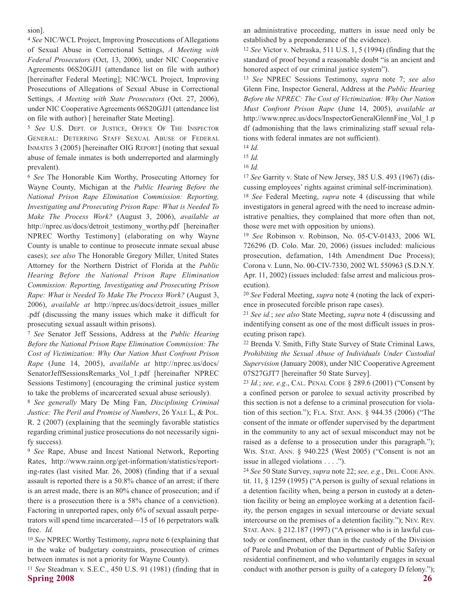sion].

<sup>4</sup> *See* NIC/WCL Project, Improving Prosecutions of Allegations of Sexual Abuse in Correctional Settings, *A Meeting with Federal Prosecutors* (Oct, 13, 2006), under NIC Cooperative Agreements 06S20GJJ1 (attendance list on file with author) [hereinafter Federal Meeting]; NIC/WCL Project, Improving Prosecutions of Allegations of Sexual Abuse in Correctional Settings, *A Meeting with State Prosecutors* (Oct. 27, 2006), under NIC Cooperative Agreements 06S20GJJ1 (attendance list on file with author) [ hereinafter State Meeting].

<sup>5</sup> *See* U.S. DEPT. OF JUSTICE, OFFICE OF THE INSPECTOR GENERAL: DETERRING STAFF SEXUAL ABUSE OF FEDERAL INMATES 3 (2005) [hereinafter OIG REPORT] (noting that sexual abuse of female inmates is both underreported and alarmingly prevalent).

<sup>6</sup> *See* The Honorable Kim Worthy, Prosecuting Attorney for Wayne County, Michigan at the *Public Hearing Before the National Prison Rape Elimination Commission: Reporting, Investigating and Prosecuting Prison Rape: What is Needed To Make The Process Work?* (August 3, 2006), *available at* http://nprec.us/docs/detroit\_testimony\_worthy.pdf [hereinafter NPREC Worthy Testimony] (elaborating on why Wayne County is unable to continue to prosecute inmate sexual abuse cases); *see also* The Honorable Gregory Miller, United States Attorney for the Northern District of Florida at the *Public Hearing Before the National Prison Rape Elimination Commission: Reporting, Investigating and Prosecuting Prison Rape: What is Needed To Make The Process Work?* (August 3, 2006), *available at* http://nprec.us/docs/detroit\_issues\_miller .pdf (discussing the many issues which make it difficult for prosecuting sexual assault within prisons).

<sup>7</sup> *See* Senator Jeff Sessions, Address at the *Public Hearing Before the National Prison Rape Elimination Commission: The Cost of Victimization: Why Our Nation Must Confront Prison Rape* (June 14, 2005), *available at* http://nprec.us/docs/ SenatorJeffSessionsRemarks\_Vol\_1.pdf [hereinafter NPREC Sessions Testimony] (encouraging the criminal justice system to take the problems of incarcerated sexual abuse seriously).

<sup>8</sup> *See generally* Mary De Ming Fan, *Disciplining Criminal Justice: The Peril and Promise of Numbers*, 26 YALE L, & POL. R. 2 (2007) (explaining that the seemingly favorable statistics regarding criminal justice prosecutions do not necessarily signify success).

<sup>9</sup> *See* Rape, Abuse and Incest National Network, Reporting Rates, http://www.rainn.org/get-information/statistics/reporting-rates (last visited Mar. 26, 2008) (finding that if a sexual assault is reported there is a 50.8% chance of an arrest; if there is an arrest made, there is an 80% chance of prosecution; and if there is a prosecution there is a 58% chance of a conviction). Factoring in unreported rapes, only 6% of sexual assault perpetrators will spend time incarcerated—15 of 16 perpetrators walk free. *Id.* 

<sup>10</sup> *See* NPREC Worthy Testimony, *supra* note 6 (explaining that in the wake of budgetary constraints, prosecution of crimes between inmates is not a priority for Wayne County).

**Spring 2008 26** <sup>11</sup> *See* Steadman v. S.E.C., 450 U.S. 91 (1981) (finding that in

an administrative proceeding, matters in issue need only be established by a preponderance of the evidence).

<sup>12</sup> *See* Victor v. Nebraska, 511 U.S. 1, 5 (1994) (finding that the standard of proof beyond a reasonable doubt "is an ancient and honored aspect of our criminal justice system").

<sup>13</sup> *See* NPREC Sessions Testimony, *supra* note 7; *see also* Glenn Fine, Inspector General, Address at the *Public Hearing Before the NPREC: The Cost of Victimization: Why Our Nation Must Confront Prison Rape* (June 14, 2005), *available at* http://www.nprec.us/docs/InspectorGeneralGlennFine Vol 1.p df (admonishing that the laws criminalizing staff sexual relations with federal inmates are not sufficient).

<sup>15</sup> *Id.* 

<sup>17</sup> *See* Garrity v. State of New Jersey, 385 U.S. 493 (1967) (discussing employees' rights against criminal self-incrimination).

<sup>18</sup> *See* Federal Meeting, *supra* note 4 (discussing that while investigators in general agreed with the need to increase administrative penalties, they complained that more often than not, those were met with opposition by unions).

<sup>19</sup> *See* Robinson v. Robinson, No. 05-CV-01433, 2006 WL 726296 (D. Colo. Mar. 20, 2006) (issues included: malicious prosecution, defamation, 14th Amendment Due Process); Corona v. Lunn, No. 00-CIV-7330, 2002 WL 550963 (S.D.N.Y. Apr. 11, 2002) (issues included: false arrest and malicious prosecution).

<sup>20</sup> *See* Federal Meeting, *supra* note 4 (noting the lack of experience in prosecuted forcible prison rape cases).

<sup>21</sup> *See id.*; *see also* State Meeting, *supra* note 4 (discussing and indentifying consent as one of the most difficult issues in prosecuting prison rape).

<sup>22</sup> Brenda V. Smith, Fifty State Survey of State Criminal Laws, *Prohibiting the Sexual Abuse of Individuals Under Custodial Supervision* (January 2008), under NIC Cooperative Agreement 07S27GJT7 [hereinafter 50 State Survey].

<sup>23</sup> *Id.*; *see, e.g*., CAL. PENAL CODE § 289.6 (2001) ("Consent by a confined person or parolee to sexual activity proscribed by this section is not a defense to a criminal prosecution for violation of this section."); FLA. STAT. ANN. § 944.35 (2006) ("The consent of the inmate or offender supervised by the department in the community to any act of sexual misconduct may not be raised as a defense to a prosecution under this paragraph."); WIS. STAT. ANN. § 940.225 (West 2005) ("Consent is not an issue in alleged violations . . . .").

<sup>24</sup> *See* 50 State Survey, *supra* note 22; *see, e.g.*, DEL. CODE ANN. tit. 11, § 1259 (1995) ("A person is guilty of sexual relations in a detention facility when, being a person in custody at a detention facility or being an employee working at a detention facility, the person engages in sexual intercourse or deviate sexual intercourse on the premises of a detention facility."); NEV. REV. STAT. ANN. § 212.187 (1997) ("A prisoner who is in lawful custody or confinement, other than in the custody of the Division of Parole and Probation of the Department of Public Safety or residential confinement, and who voluntarily engages in sexual conduct with another person is guilty of a category D felony.");

<sup>14</sup> *Id.* 

<sup>16</sup> *Id.*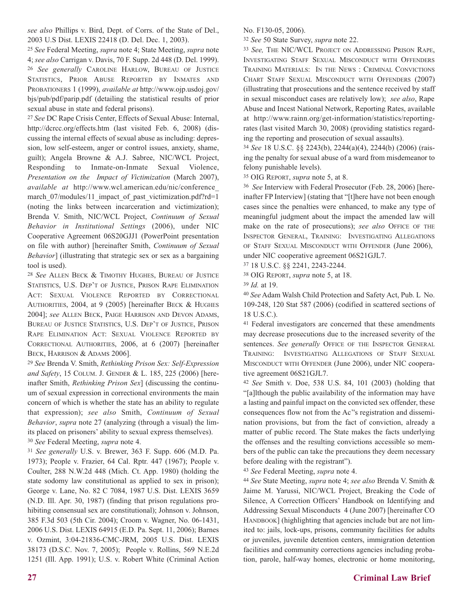*see also* Phillips v. Bird, Dept. of Corrs. of the State of Del., 2003 U.S Dist. LEXIS 22418 (D. Del. Dec. 1, 2003).

<sup>25</sup> *See* Federal Meeting, *supra* note 4; State Meeting, *supra* note 4; *see also* Carrigan v. Davis, 70 F. Supp. 2d 448 (D. Del. 1999). <sup>26</sup> *See generally* CAROLINE HARLOW, BUREAU OF JUSTICE STATISTICS, PRIOR ABUSE REPORTED BY INMATES AND PROBATIONERS 1 (1999), *available at* http://www.ojp.usdoj.gov/ bjs/pub/pdf/parip.pdf (detailing the statistical results of prior sexual abuse in state and federal prisons).

<sup>27</sup> *See* DC Rape Crisis Center, Effects of Sexual Abuse: Internal, http://dcrcc.org/effects.htm (last visited Feb. 6, 2008) (discussing the internal effects of sexual abuse as including: depression, low self-esteem, anger or control issues, anxiety, shame, guilt); Angela Browne & A.J. Sabree, NIC/WCL Project, Responding to Inmate-on-Inmate Sexual Violence, *Presentation on the Impact of Victimization* (March 2007), *available at* http://www.wcl.american.edu/nic/conference\_ march\_07/modules/11\_impact\_of\_past\_victimization.pdf?rd=1 (noting the links between incarceration and victimization); Brenda V. Smith, NIC/WCL Project, *Continuum of Sexual Behavior in Institutional Settings* (2006), under NIC Cooperative Agreement 06S20GJJ1 (PowerPoint presentation on file with author) [hereinafter Smith, *Continuum of Sexual Behavior*] (illustrating that strategic sex or sex as a bargaining tool is used).

<sup>28</sup> *See* ALLEN BECK & TIMOTHY HUGHES, BUREAU OF JUSTICE STATISTICS, U.S. DEP'T OF JUSTICE, PRISON RAPE ELIMINATION ACT: SEXUAL VIOLENCE REPORTED BY CORRECTIONAL AUTHORITIES, 2004, at 9 (2005) [hereinafter BECK & HUGHES 2004]; *see* ALLEN BECK, PAIGE HARRISON AND DEVON ADAMS, BUREAU OF JUSTICE STATISTICS, U.S. DEP'T OF JUSTICE, PRISON RAPE ELIMINATION ACT: SEXUAL VIOLENCE REPORTED BY CORRECTIONAL AUTHORITIES, 2006, at 6 (2007) [hereinafter BECK, HARRISON & ADAMS 2006].

<sup>29</sup> *See* Brenda V. Smith, *Rethinking Prison Sex: Self-Expression and Safety*, 15 COLUM. J. GENDER & L. 185, 225 (2006) [hereinafter Smith, *Rethinking Prison Sex*] (discussing the continuum of sexual expression in correctional environments the main concern of which is whether the state has an ability to regulate that expression); *see also* Smith, *Continuum of Sexual Behavior*, *supra* note 27 (analyzing (through a visual) the limits placed on prisoners' ability to sexual express themselves). <sup>30</sup> *See* Federal Meeting, *supra* note 4.

<sup>31</sup> *See generally* U.S. v. Brewer, 363 F. Supp. 606 (M.D. Pa. 1973); People v. Frazier, 64 Cal. Rptr. 447 (1967); People v. Coulter, 288 N.W.2d 448 (Mich. Ct. App. 1980) (holding the state sodomy law constitutional as applied to sex in prison); George v. Lane, No. 82 C 7084, 1987 U.S. Dist. LEXIS 3659 (N.D. Ill. Apr. 30, 1987) (finding that prison regulations prohibiting consensual sex are constitutional); Johnson v. Johnson, 385 F.3d 503 (5th Cir. 2004); Croom v. Wagner, No. 06-1431, 2006 U.S. Dist. LEXIS 64915 (E.D. Pa. Sept. 11, 2006); Barnes v. Ozmint, 3:04-21836-CMC-JRM, 2005 U.S. Dist. LEXIS 38173 (D.S.C. Nov. 7, 2005); People v. Rollins, 569 N.E.2d 1251 (Ill. App. 1991); U.S. v. Robert White (Criminal Action

No. F130-05, 2006).

<sup>32</sup> *See* 50 State Survey, *supra* note 22.

<sup>33</sup> *See,* THE NIC/WCL PROJECT ON ADDRESSING PRISON RAPE, INVESTIGATING STAFF SEXUAL MISCONDUCT WITH OFFENDERS TRAINING MATERIALS: IN THE NEWS : CRIMINAL CONVICTIONS CHART STAFF SEXUAL MISCONDUCT WITH OFFENDERS (2007) (illustrating that prosecutions and the sentence received by staff in sexual misconduct cases are relatively low); *see also*, Rape Abuse and Incest National Network, Reporting Rates, available at http://www.rainn.org/get-information/statistics/reportingrates (last visited March 30, 2008) (providing statistics regarding the reporting and prosecution of sexual assaults).

<sup>34</sup> *See* 18 U.S.C. §§ 2243(b), 2244(a)(4), 2244(b) (2006) (raising the penalty for sexual abuse of a ward from misdemeanor to felony punishable levels).

<sup>35</sup> OIG REPORT, *supra* note 5, at 8.

<sup>36</sup> *See* Interview with Federal Prosecutor (Feb. 28, 2006) [hereinafter FP Interview] (stating that "[t]here have not been enough cases since the penalties were enhanced, to make any type of meaningful judgment about the impact the amended law will make on the rate of prosecutions); *see also* OFFICE OF THE INSPECTOR GENERAL, TRAINING: INVESTIGATING ALLEGATIONS OF STAFF SEXUAL MISCONDUCT WITH OFFENDER (June 2006), under NIC cooperative agreement 06S21GJL7.

<sup>37</sup> 18 U.S.C. §§ 2241, 2243-2244.

<sup>38</sup> OIG REPORT, *supra* note 5, at 18.

<sup>39</sup> *Id.* at 19.

<sup>40</sup> *See* Adam Walsh Child Protection and Safety Act, Pub. L No. 109-248, 120 Stat 587 (2006) (codified in scattered sections of 18 U.S.C.).

<sup>41</sup> Federal investigators are concerned that these amendments may decrease prosecutions due to the increased severity of the sentences. See generally OFFICE OF THE INSPECTOR GENERAL TRAINING: INVESTIGATING ALLEGATIONS OF STAFF SEXUAL MISCONDUCT WITH OFFENDER (June 2006), under NIC cooperative agreement 06S21GJL7.

<sup>42</sup> *See* Smith v. Doe, 538 U.S. 84, 101 (2003) (holding that "[a]lthough the public availability of the information may have a lasting and painful impact on the convicted sex offender, these consequences flow not from the Ac''s registration and dissemination provisions, but from the fact of conviction, already a matter of public record. The State makes the facts underlying the offenses and the resulting convictions accessible so members of the public can take the precautions they deem necessary before dealing with the registrant").

<sup>43</sup> *See* Federal Meeting, *supra* note 4.

<sup>44</sup> *See* State Meeting, *supra* note 4; *see also* Brenda V. Smith & Jaime M. Yarussi, NIC/WCL Project, Breaking the Code of Silence, A Correction Officers' Handbook on Identifying and Addressing Sexual Misconducts 4 (June 2007) [hereinafter CO HANDBOOK] (highlighting that agencies include but are not limited to: jails, lock-ups, prisons, community facilities for adults or juveniles, juvenile detention centers, immigration detention facilities and community corrections agencies including probation, parole, half-way homes, electronic or home monitoring,